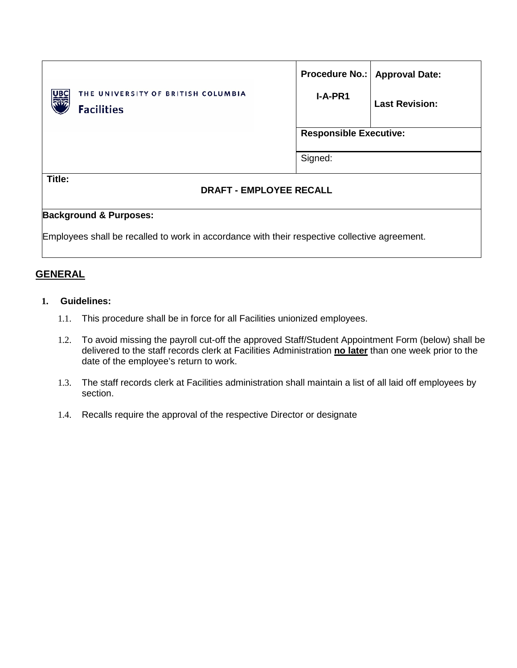| THE UNIVERSITY OF BRITISH COLUMBIA<br>UBO<br>$\widetilde{\mathbb{R}}$<br><b>Facilities</b> | $I-A-PR1$                     | Procedure No.:   Approval Date:<br><b>Last Revision:</b> |
|--------------------------------------------------------------------------------------------|-------------------------------|----------------------------------------------------------|
|                                                                                            | <b>Responsible Executive:</b> |                                                          |
|                                                                                            | Signed:                       |                                                          |
| Title:<br><b>DRAFT - EMPLOYEE RECALL</b>                                                   |                               |                                                          |
| <b>Background &amp; Purposes:</b>                                                          |                               |                                                          |

Employees shall be recalled to work in accordance with their respective collective agreement.

# **GENERAL**

### **1. Guidelines:**

- 1.1. This procedure shall be in force for all Facilities unionized employees.
- 1.2. To avoid missing the payroll cut-off the approved Staff/Student Appointment Form (below) shall be delivered to the staff records clerk at Facilities Administration **no later** than one week prior to the date of the employee's return to work.
- 1.3. The staff records clerk at Facilities administration shall maintain a list of all laid off employees by section.
- 1.4. Recalls require the approval of the respective Director or designate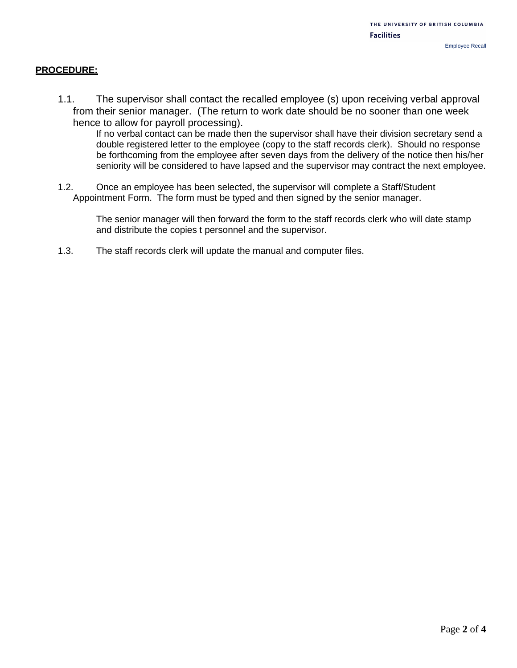### **PROCEDURE:**

1.1. The supervisor shall contact the recalled employee (s) upon receiving verbal approval from their senior manager. (The return to work date should be no sooner than one week hence to allow for payroll processing).

If no verbal contact can be made then the supervisor shall have their division secretary send a double registered letter to the employee (copy to the staff records clerk). Should no response be forthcoming from the employee after seven days from the delivery of the notice then his/her seniority will be considered to have lapsed and the supervisor may contract the next employee.

1.2. Once an employee has been selected, the supervisor will complete a Staff/Student Appointment Form. The form must be typed and then signed by the senior manager.

The senior manager will then forward the form to the staff records clerk who will date stamp and distribute the copies t personnel and the supervisor.

1.3. The staff records clerk will update the manual and computer files.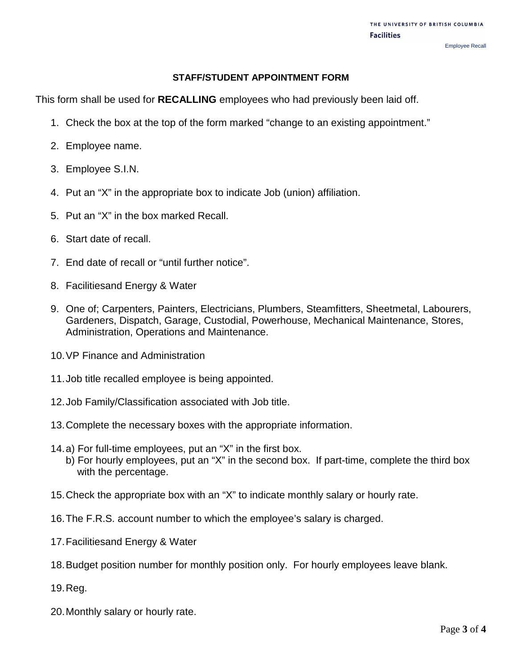#### Employee Recall

## **STAFF/STUDENT APPOINTMENT FORM**

This form shall be used for **RECALLING** employees who had previously been laid off.

- 1. Check the box at the top of the form marked "change to an existing appointment."
- 2. Employee name.
- 3. Employee S.I.N.
- 4. Put an "X" in the appropriate box to indicate Job (union) affiliation.
- 5. Put an "X" in the box marked Recall.
- 6. Start date of recall.
- 7. End date of recall or "until further notice".
- 8. Facilitiesand Energy & Water
- 9. One of; Carpenters, Painters, Electricians, Plumbers, Steamfitters, Sheetmetal, Labourers, Gardeners, Dispatch, Garage, Custodial, Powerhouse, Mechanical Maintenance, Stores, Administration, Operations and Maintenance.
- 10.VP Finance and Administration
- 11.Job title recalled employee is being appointed.
- 12.Job Family/Classification associated with Job title.
- 13.Complete the necessary boxes with the appropriate information.
- 14.a) For full-time employees, put an "X" in the first box.
	- b) For hourly employees, put an "X" in the second box. If part-time, complete the third box with the percentage.
- 15.Check the appropriate box with an "X" to indicate monthly salary or hourly rate.
- 16.The F.R.S. account number to which the employee's salary is charged.
- 17.Facilitiesand Energy & Water
- 18.Budget position number for monthly position only. For hourly employees leave blank.
- 19.Reg.
- 20.Monthly salary or hourly rate.